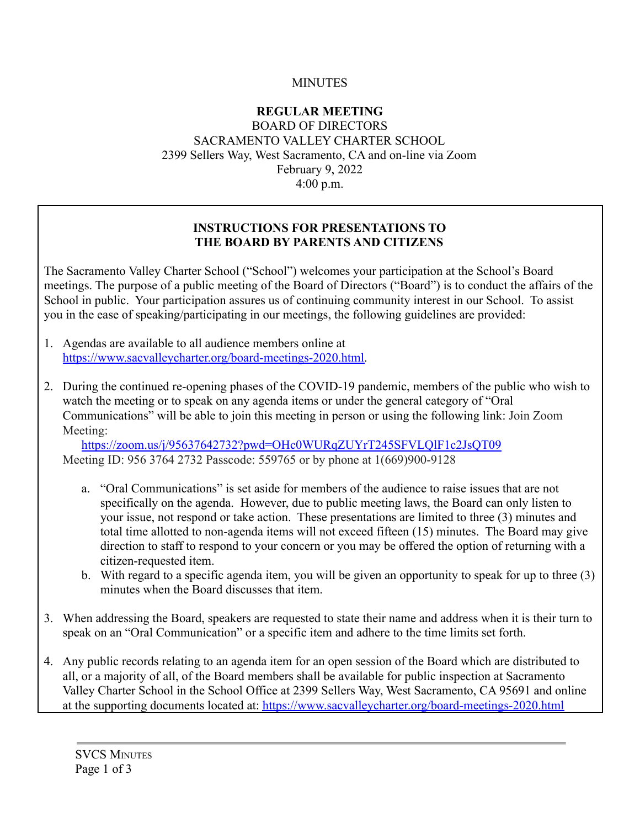### **MINUTES**

#### **REGULAR MEETING** BOARD OF DIRECTORS SACRAMENTO VALLEY CHARTER SCHOOL 2399 Sellers Way, West Sacramento, CA and on-line via Zoom February 9, 2022 4:00 p.m.

#### **INSTRUCTIONS FOR PRESENTATIONS TO THE BOARD BY PARENTS AND CITIZENS**

The Sacramento Valley Charter School ("School") welcomes your participation at the School's Board meetings. The purpose of a public meeting of the Board of Directors ("Board") is to conduct the affairs of the School in public. Your participation assures us of continuing community interest in our School. To assist you in the ease of speaking/participating in our meetings, the following guidelines are provided:

- 1. Agendas are available to all audience members online at https://www.sacvalleycharter.org/board-meetings-2020.html.
- 2. During the continued re-opening phases of the COVID-19 pandemic, members of the public who wish to watch the meeting or to speak on any agenda items or under the general category of "Oral Communications" will be able to join this meeting in person or using the following link: Join Zoom Meeting:

<https://zoom.us/j/95637642732?pwd=OHc0WURqZUYrT245SFVLQlF1c2JsQT09> Meeting ID: 956 3764 2732 Passcode: 559765 or by phone at 1(669)900-9128

- a. "Oral Communications" is set aside for members of the audience to raise issues that are not specifically on the agenda. However, due to public meeting laws, the Board can only listen to your issue, not respond or take action. These presentations are limited to three (3) minutes and total time allotted to non-agenda items will not exceed fifteen (15) minutes. The Board may give direction to staff to respond to your concern or you may be offered the option of returning with a citizen-requested item.
- b. With regard to a specific agenda item, you will be given an opportunity to speak for up to three (3) minutes when the Board discusses that item.
- 3. When addressing the Board, speakers are requested to state their name and address when it is their turn to speak on an "Oral Communication" or a specific item and adhere to the time limits set forth.
- 4. Any public records relating to an agenda item for an open session of the Board which are distributed to all, or a majority of all, of the Board members shall be available for public inspection at Sacramento Valley Charter School in the School Office at 2399 Sellers Way, West Sacramento, CA 95691 and online at the supporting documents located at: https://www.sacvalleycharter.org/board-meetings-2020.html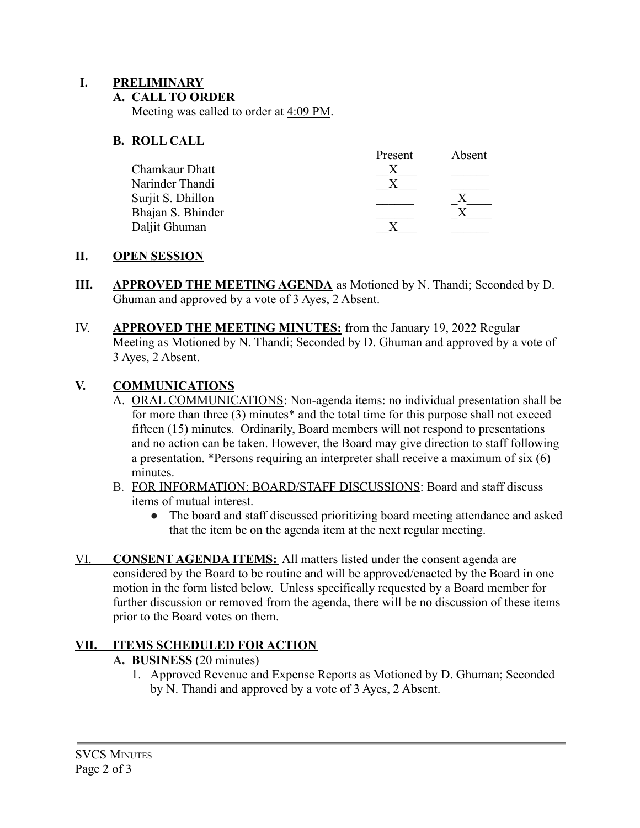### **I. PRELIMINARY**

#### **A. CALL TO ORDER**

Meeting was called to order at 4:09 PM.

### **B. ROLL CALL**

|                   | Present | Absent |
|-------------------|---------|--------|
| Chamkaur Dhatt    |         |        |
| Narinder Thandi   |         |        |
| Surjit S. Dhillon |         |        |
| Bhajan S. Bhinder |         |        |
| Daljit Ghuman     |         |        |

#### **II. OPEN SESSION**

- **III. APPROVED THE MEETING AGENDA** as Motioned by N. Thandi; Seconded by D. Ghuman and approved by a vote of 3 Ayes, 2 Absent.
- IV. **APPROVED THE MEETING MINUTES:** from the January 19, 2022 Regular Meeting as Motioned by N. Thandi; Seconded by D. Ghuman and approved by a vote of 3 Ayes, 2 Absent.

### **V. COMMUNICATIONS**

- A. ORAL COMMUNICATIONS: Non-agenda items: no individual presentation shall be for more than three (3) minutes\* and the total time for this purpose shall not exceed fifteen (15) minutes. Ordinarily, Board members will not respond to presentations and no action can be taken. However, the Board may give direction to staff following a presentation. \*Persons requiring an interpreter shall receive a maximum of six (6) minutes.
- B. FOR INFORMATION: BOARD/STAFF DISCUSSIONS: Board and staff discuss items of mutual interest.
	- The board and staff discussed prioritizing board meeting attendance and asked that the item be on the agenda item at the next regular meeting.
- VI. **CONSENT AGENDA ITEMS:** All matters listed under the consent agenda are considered by the Board to be routine and will be approved/enacted by the Board in one motion in the form listed below. Unless specifically requested by a Board member for further discussion or removed from the agenda, there will be no discussion of these items prior to the Board votes on them.

### **VII. ITEMS SCHEDULED FOR ACTION**

#### **A. BUSINESS** (20 minutes)

1. Approved Revenue and Expense Reports as Motioned by D. Ghuman; Seconded by N. Thandi and approved by a vote of 3 Ayes, 2 Absent.